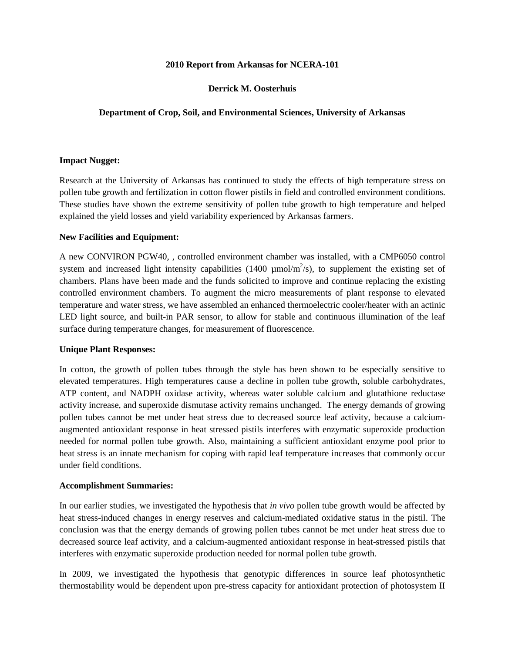#### **2010 Report from Arkansas for NCERA-101**

# **Derrick M. Oosterhuis**

## **Department of Crop, Soil, and Environmental Sciences, University of Arkansas**

#### **Impact Nugget:**

Research at the University of Arkansas has continued to study the effects of high temperature stress on pollen tube growth and fertilization in cotton flower pistils in field and controlled environment conditions. These studies have shown the extreme sensitivity of pollen tube growth to high temperature and helped explained the yield losses and yield variability experienced by Arkansas farmers.

#### **New Facilities and Equipment:**

A new CONVIRON PGW40, , controlled environment chamber was installed, with a CMP6050 control system and increased light intensity capabilities  $(1400 \mu m o l/m^2/s)$ , to supplement the existing set of chambers. Plans have been made and the funds solicited to improve and continue replacing the existing controlled environment chambers. To augment the micro measurements of plant response to elevated temperature and water stress, we have assembled an enhanced thermoelectric cooler/heater with an actinic LED light source, and built-in PAR sensor, to allow for stable and continuous illumination of the leaf surface during temperature changes, for measurement of fluorescence.

## **Unique Plant Responses:**

In cotton, the growth of pollen tubes through the style has been shown to be especially sensitive to elevated temperatures. High temperatures cause a decline in pollen tube growth, soluble carbohydrates, ATP content, and NADPH oxidase activity, whereas water soluble calcium and glutathione reductase activity increase, and superoxide dismutase activity remains unchanged. The energy demands of growing pollen tubes cannot be met under heat stress due to decreased source leaf activity, because a calciumaugmented antioxidant response in heat stressed pistils interferes with enzymatic superoxide production needed for normal pollen tube growth. Also, maintaining a sufficient antioxidant enzyme pool prior to heat stress is an innate mechanism for coping with rapid leaf temperature increases that commonly occur under field conditions.

## **Accomplishment Summaries:**

In our earlier studies, we investigated the hypothesis that *in vivo* pollen tube growth would be affected by heat stress-induced changes in energy reserves and calcium-mediated oxidative status in the pistil. The conclusion was that the energy demands of growing pollen tubes cannot be met under heat stress due to decreased source leaf activity, and a calcium-augmented antioxidant response in heat-stressed pistils that interferes with enzymatic superoxide production needed for normal pollen tube growth.

In 2009, we investigated the hypothesis that genotypic differences in source leaf photosynthetic thermostability would be dependent upon pre-stress capacity for antioxidant protection of photosystem II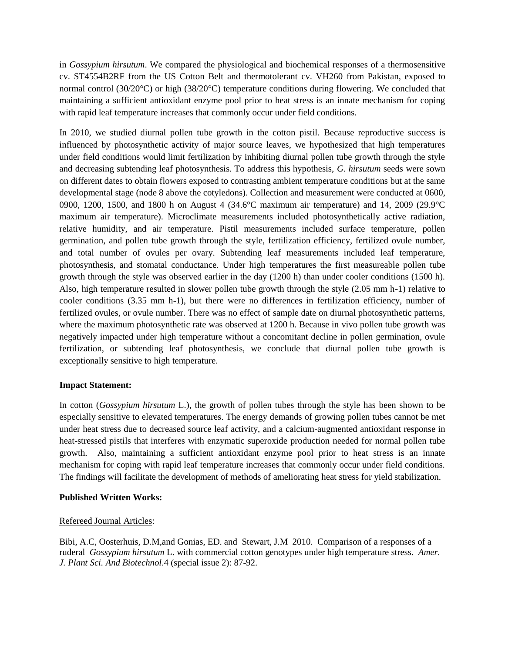in *Gossypium hirsutum*. We compared the physiological and biochemical responses of a thermosensitive cv. ST4554B2RF from the US Cotton Belt and thermotolerant cv. VH260 from Pakistan, exposed to normal control (30/20°C) or high (38/20°C) temperature conditions during flowering. We concluded that maintaining a sufficient antioxidant enzyme pool prior to heat stress is an innate mechanism for coping with rapid leaf temperature increases that commonly occur under field conditions.

In 2010, we studied diurnal pollen tube growth in the cotton pistil. Because reproductive success is influenced by photosynthetic activity of major source leaves, we hypothesized that high temperatures under field conditions would limit fertilization by inhibiting diurnal pollen tube growth through the style and decreasing subtending leaf photosynthesis. To address this hypothesis, *G. hirsutum* seeds were sown on different dates to obtain flowers exposed to contrasting ambient temperature conditions but at the same developmental stage (node 8 above the cotyledons). Collection and measurement were conducted at 0600, 0900, 1200, 1500, and 1800 h on August 4 (34.6°C maximum air temperature) and 14, 2009 (29.9°C maximum air temperature). Microclimate measurements included photosynthetically active radiation, relative humidity, and air temperature. Pistil measurements included surface temperature, pollen germination, and pollen tube growth through the style, fertilization efficiency, fertilized ovule number, and total number of ovules per ovary. Subtending leaf measurements included leaf temperature, photosynthesis, and stomatal conductance. Under high temperatures the first measureable pollen tube growth through the style was observed earlier in the day (1200 h) than under cooler conditions (1500 h). Also, high temperature resulted in slower pollen tube growth through the style (2.05 mm h-1) relative to cooler conditions (3.35 mm h-1), but there were no differences in fertilization efficiency, number of fertilized ovules, or ovule number. There was no effect of sample date on diurnal photosynthetic patterns, where the maximum photosynthetic rate was observed at 1200 h. Because in vivo pollen tube growth was negatively impacted under high temperature without a concomitant decline in pollen germination, ovule fertilization, or subtending leaf photosynthesis, we conclude that diurnal pollen tube growth is exceptionally sensitive to high temperature.

## **Impact Statement:**

In cotton (*Gossypium hirsutum* L.), the growth of pollen tubes through the style has been shown to be especially sensitive to elevated temperatures. The energy demands of growing pollen tubes cannot be met under heat stress due to decreased source leaf activity, and a calcium-augmented antioxidant response in heat-stressed pistils that interferes with enzymatic superoxide production needed for normal pollen tube growth. Also, maintaining a sufficient antioxidant enzyme pool prior to heat stress is an innate mechanism for coping with rapid leaf temperature increases that commonly occur under field conditions. The findings will facilitate the development of methods of ameliorating heat stress for yield stabilization.

## **Published Written Works:**

## Refereed Journal Articles:

Bibi, A.C, Oosterhuis, D.M,and Gonias, ED. and Stewart, J.M 2010. Comparison of a responses of a ruderal *Gossypium hirsutum* L. with commercial cotton genotypes under high temperature stress. *Amer. J. Plant Sci. And Biotechnol*.4 (special issue 2): 87-92.